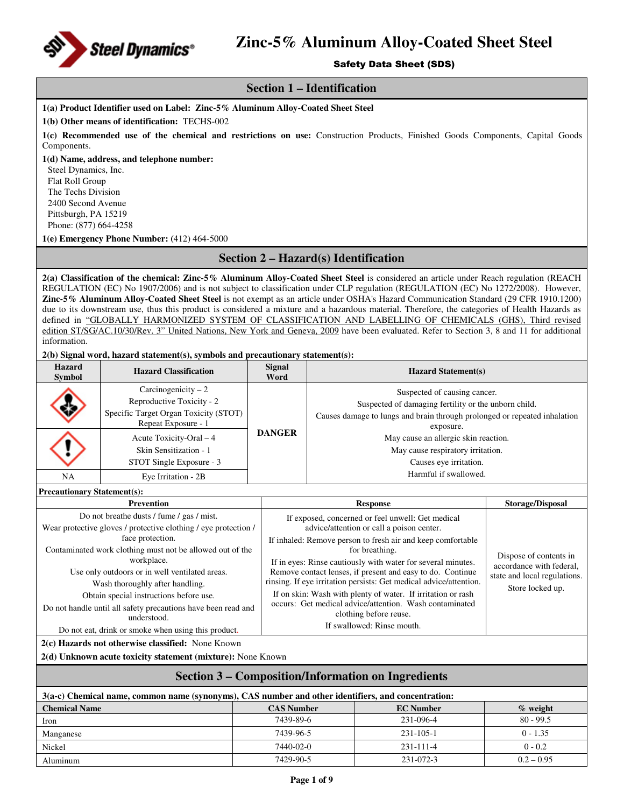

### Safety Data Sheet (SDS)

### **Section 1 – Identification**

**1(a) Product Identifier used on Label: Zinc-5% Aluminum Alloy-Coated Sheet Steel** 

**1(b) Other means of identification:** TECHS-002

**1(c) Recommended use of the chemical and restrictions on use:** Construction Products, Finished Goods Components, Capital Goods Components.

**1(d) Name, address, and telephone number:** 

Steel Dynamics, Inc. Flat Roll Group The Techs Division 2400 Second Avenue Pittsburgh, PA 15219 Phone: (877) 664-4258

**1(e) Emergency Phone Number: (**412) 464-5000

## **Section 2 – Hazard(s) Identification**

**2(a) Classification of the chemical: Zinc-5% Aluminum Alloy-Coated Sheet Steel** is considered an article under Reach regulation (REACH REGULATION (EC) No 1907/2006) and is not subject to classification under CLP regulation (REGULATION (EC) No 1272/2008). However, **Zinc-5% Aluminum Alloy-Coated Sheet Steel** is not exempt as an article under OSHA's Hazard Communication Standard (29 CFR 1910.1200) due to its downstream use, thus this product is considered a mixture and a hazardous material. Therefore, the categories of Health Hazards as defined in "GLOBALLY HARMONIZED SYSTEM OF CLASSIFICATION AND LABELLING OF CHEMICALS (GHS), Third revised edition ST/SG/AC.10/30/Rev. 3" United Nations, New York and Geneva, 2009 have been evaluated. Refer to Section 3, 8 and 11 for additional information.

**2(b) Signal word, hazard statement(s), symbols and precautionary statement(s):** 

| <b>Hazard</b><br><b>Symbol</b> | <b>Hazard Classification</b>                                                                                      | <b>Signal</b><br>Word | <b>Hazard Statement(s)</b>                                                                                                                                                     |
|--------------------------------|-------------------------------------------------------------------------------------------------------------------|-----------------------|--------------------------------------------------------------------------------------------------------------------------------------------------------------------------------|
|                                | Carcinogenicity $-2$<br>Reproductive Toxicity - 2<br>Specific Target Organ Toxicity (STOT)<br>Repeat Exposure - 1 |                       | Suspected of causing cancer.<br>Suspected of damaging fertility or the unborn child.<br>Causes damage to lungs and brain through prolonged or repeated inhalation<br>exposure. |
|                                | Acute Toxicity-Oral – 4<br>Skin Sensitization - 1<br>STOT Single Exposure - 3                                     | <b>DANGER</b>         | May cause an allergic skin reaction.<br>May cause respiratory irritation.<br>Causes eye irritation.                                                                            |
| NA                             | Eye Irritation - 2B                                                                                               |                       | Harmful if swallowed.                                                                                                                                                          |

**Precautionary Statement(s):** 

| <b>Prevention</b>                                               | <b>Response</b>                                                    | Storage/Disposal             |
|-----------------------------------------------------------------|--------------------------------------------------------------------|------------------------------|
| Do not breather dusts / fume / gas / mist.                      | If exposed, concerned or feel unwell: Get medical                  |                              |
| Wear protective gloves / protective clothing / eye protection / | advice/attention or call a poison center.                          |                              |
| face protection.                                                | If inhaled: Remove person to fresh air and keep comfortable        |                              |
| Contaminated work clothing must not be allowed out of the       | for breathing.                                                     | Dispose of contents in       |
| workplace.                                                      | If in eyes: Rinse cautiously with water for several minutes.       | accordance with federal,     |
| Use only outdoors or in well ventilated areas.                  | Remove contact lenses, if present and easy to do. Continue         | state and local regulations. |
| Wash thoroughly after handling.                                 | rinsing. If eye irritation persists: Get medical advice/attention. | Store locked up.             |
| Obtain special instructions before use.                         | If on skin: Wash with plenty of water. If irritation or rash       |                              |
| Do not handle until all safety precautions have been read and   | occurs: Get medical advice/attention. Wash contaminated            |                              |
| understood.                                                     | clothing before reuse.                                             |                              |
| Do not eat, drink or smoke when using this product.             | If swallowed: Rinse mouth.                                         |                              |

**2(c) Hazards not otherwise classified:** None Known

**2(d) Unknown acute toxicity statement (mixture):** None Known

### **Section 3 – Composition/Information on Ingredients**

| 3(a-c) Chemical name, common name (synonyms), CAS number and other identifiers, and concentration: |                   |                  |              |  |  |
|----------------------------------------------------------------------------------------------------|-------------------|------------------|--------------|--|--|
| <b>Chemical Name</b>                                                                               | <b>CAS Number</b> | <b>EC</b> Number | $\%$ weight  |  |  |
| Iron                                                                                               | 7439-89-6         | 231-096-4        | $80 - 99.5$  |  |  |
| Manganese                                                                                          | 7439-96-5         | $231 - 105 - 1$  | $0 - 1.35$   |  |  |
| Nickel                                                                                             | 7440-02-0         | $231 - 111 - 4$  | $0 - 0.2$    |  |  |
| Aluminum                                                                                           | 7429-90-5         | 231-072-3        | $0.2 - 0.95$ |  |  |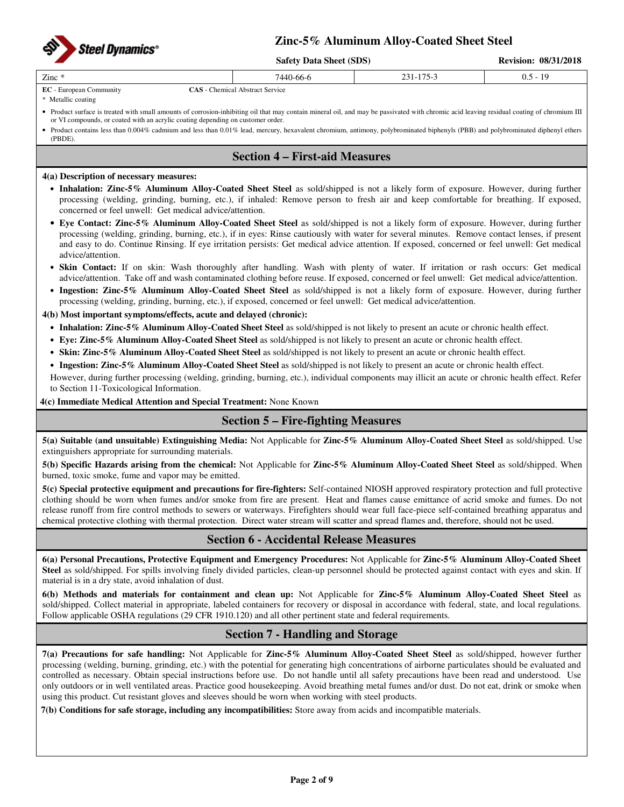

**Safety Data Sheet (SDS) Revision: 08/31/2018**

|                 | $B$ artiv Data Blitti (BDB) | $NUNJJUII$ , $VUJJJZVIO$                |            |
|-----------------|-----------------------------|-----------------------------------------|------------|
| Zinc *<br>_____ | 440-66-6                    | 175<br>$'$ 1 =<br>$\mathbf{r}$<br>11J J | U.J<br>. . |

### **EC** - European Community **CAS** - Chemical Abstract Service

\* Metallic coating

• Product surface is treated with small amounts of corrosion-inhibiting oil that may contain mineral oil, and may be passivated with chromic acid leaving residual coating of chromium III or VI compounds, or coated with an acrylic coating depending on customer order.

• Product contains less than 0.004% cadmium and less than 0.01% lead, mercury, hexavalent chromium, antimony, polybrominated biphenyls (PBB) and polybrominated diphenyl ethers (PBDE).

## **Section 4 – First-aid Measures**

### **4(a) Description of necessary measures:**

- **Inhalation: Zinc-5% Aluminum Alloy-Coated Sheet Steel** as sold/shipped is not a likely form of exposure. However, during further processing (welding, grinding, burning, etc.), if inhaled: Remove person to fresh air and keep comfortable for breathing. If exposed, concerned or feel unwell: Get medical advice/attention.
- **Eye Contact: Zinc-5% Aluminum Alloy-Coated Sheet Steel** as sold/shipped is not a likely form of exposure. However, during further processing (welding, grinding, burning, etc.), if in eyes: Rinse cautiously with water for several minutes. Remove contact lenses, if present and easy to do. Continue Rinsing. If eye irritation persists: Get medical advice attention. If exposed, concerned or feel unwell: Get medical advice/attention.
- **Skin Contact:** If on skin: Wash thoroughly after handling. Wash with plenty of water. If irritation or rash occurs: Get medical advice/attention. Take off and wash contaminated clothing before reuse. If exposed, concerned or feel unwell: Get medical advice/attention.
- **Ingestion: Zinc-5% Aluminum Alloy-Coated Sheet Steel** as sold/shipped is not a likely form of exposure. However, during further processing (welding, grinding, burning, etc.), if exposed, concerned or feel unwell: Get medical advice/attention.

### **4(b) Most important symptoms/effects, acute and delayed (chronic):**

- **Inhalation: Zinc-5% Aluminum Alloy-Coated Sheet Steel** as sold/shipped is not likely to present an acute or chronic health effect.
- **Eye: Zinc-5% Aluminum Alloy-Coated Sheet Steel** as sold/shipped is not likely to present an acute or chronic health effect.
- **Skin: Zinc-5% Aluminum Alloy-Coated Sheet Steel** as sold/shipped is not likely to present an acute or chronic health effect.
- **Ingestion: Zinc-5% Aluminum Alloy-Coated Sheet Steel** as sold/shipped is not likely to present an acute or chronic health effect.

However, during further processing (welding, grinding, burning, etc.), individual components may illicit an acute or chronic health effect. Refer to Section 11-Toxicological Information.

**4(c) Immediate Medical Attention and Special Treatment:** None Known

## **Section 5 – Fire-fighting Measures**

**5(a) Suitable (and unsuitable) Extinguishing Media:** Not Applicable for **Zinc-5% Aluminum Alloy-Coated Sheet Steel** as sold/shipped. Use extinguishers appropriate for surrounding materials.

**5(b) Specific Hazards arising from the chemical:** Not Applicable for **Zinc-5% Aluminum Alloy-Coated Sheet Steel** as sold/shipped. When burned, toxic smoke, fume and vapor may be emitted.

**5(c) Special protective equipment and precautions for fire-fighters:** Self-contained NIOSH approved respiratory protection and full protective clothing should be worn when fumes and/or smoke from fire are present. Heat and flames cause emittance of acrid smoke and fumes. Do not release runoff from fire control methods to sewers or waterways. Firefighters should wear full face-piece self-contained breathing apparatus and chemical protective clothing with thermal protection. Direct water stream will scatter and spread flames and, therefore, should not be used.

## **Section 6 - Accidental Release Measures**

**6(a) Personal Precautions, Protective Equipment and Emergency Procedures:** Not Applicable for **Zinc-5% Aluminum Alloy-Coated Sheet Steel** as sold/shipped. For spills involving finely divided particles, clean-up personnel should be protected against contact with eyes and skin. If material is in a dry state, avoid inhalation of dust.

**6(b) Methods and materials for containment and clean up:** Not Applicable for **Zinc-5% Aluminum Alloy-Coated Sheet Steel** as sold/shipped. Collect material in appropriate, labeled containers for recovery or disposal in accordance with federal, state, and local regulations. Follow applicable OSHA regulations (29 CFR 1910.120) and all other pertinent state and federal requirements.

## **Section 7 - Handling and Storage**

**7(a) Precautions for safe handling:** Not Applicable for **Zinc-5% Aluminum Alloy-Coated Sheet Steel** as sold/shipped, however further processing (welding, burning, grinding, etc.) with the potential for generating high concentrations of airborne particulates should be evaluated and controlled as necessary. Obtain special instructions before use. Do not handle until all safety precautions have been read and understood. Use only outdoors or in well ventilated areas. Practice good housekeeping. Avoid breathing metal fumes and/or dust. Do not eat, drink or smoke when using this product. Cut resistant gloves and sleeves should be worn when working with steel products.

**7(b) Conditions for safe storage, including any incompatibilities:** Store away from acids and incompatible materials.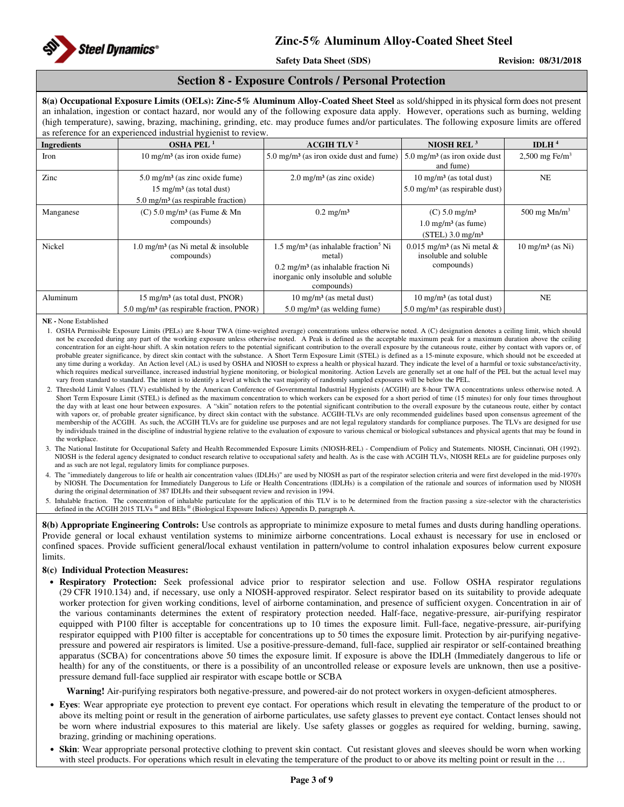

## **Section 8 - Exposure Controls / Personal Protection**

**8(a) Occupational Exposure Limits (OELs): Zinc-5% Aluminum Alloy-Coated Sheet Steel** as sold/shipped in its physical form does not present an inhalation, ingestion or contact hazard, nor would any of the following exposure data apply. However, operations such as burning, welding (high temperature), sawing, brazing, machining, grinding, etc. may produce fumes and/or particulates. The following exposure limits are offered as reference for an experienced industrial hygienist to review.

|                    | <u>reference for an experienced museum nygremotic Texten</u>                                                                      |                                                                                                                                                                               |                                                                                                 |                             |
|--------------------|-----------------------------------------------------------------------------------------------------------------------------------|-------------------------------------------------------------------------------------------------------------------------------------------------------------------------------|-------------------------------------------------------------------------------------------------|-----------------------------|
| <b>Ingredients</b> | OSHA PEL $1$                                                                                                                      | ACGIH TLV <sup>2</sup>                                                                                                                                                        | NIOSH REL <sup>3</sup>                                                                          | IDLH $4$                    |
| Iron               | $10 \text{ mg/m}^3$ (as iron oxide fume)                                                                                          | $5.0 \text{ mg/m}^3$ (as iron oxide dust and fume)                                                                                                                            | $5.0 \text{ mg/m}^3$ (as iron oxide dust<br>and fume)                                           | 2,500 mg Fe/m <sup>3</sup>  |
| Zinc               | $5.0 \text{ mg/m}^3$ (as zinc oxide fume)<br>$15 \text{ mg/m}^3$ (as total dust)<br>$5.0 \text{ mg/m}^3$ (as respirable fraction) | $2.0 \text{ mg/m}^3$ (as zinc oxide)                                                                                                                                          | $10 \text{ mg/m}^3$ (as total dust)<br>$5.0 \text{ mg/m}^3$ (as respirable dust)                | <b>NE</b>                   |
| Manganese          | $(C)$ 5.0 mg/m <sup>3</sup> (as Fume & Mn<br>compounds)                                                                           | $0.2$ mg/m <sup>3</sup>                                                                                                                                                       | $(C)$ 5.0 mg/m <sup>3</sup><br>$1.0 \text{ mg/m}^3$ (as fume)<br>$(STEL)$ 3.0 mg/m <sup>3</sup> | 500 mg $Mn/m3$              |
| Nickel             | $1.0 \text{ mg/m}^3$ (as Ni metal & insoluble<br>compounds)                                                                       | $1.5 \text{ mg/m}^3$ (as inhalable fraction <sup>5</sup> Ni<br>metal)<br>$0.2 \text{ mg/m}^3$ (as inhalable fraction Ni<br>inorganic only insoluble and soluble<br>compounds) | $0.015$ mg/m <sup>3</sup> (as Ni metal &<br>insoluble and soluble<br>compounds)                 | $10 \text{ mg/m}^3$ (as Ni) |
| Aluminum           | 15 mg/m <sup>3</sup> (as total dust, PNOR)<br>$5.0 \text{ mg/m}^3$ (as respirable fraction, PNOR)                                 | $10 \text{ mg/m}^3$ (as metal dust)<br>$5.0 \text{ mg/m}^3$ (as welding fume)                                                                                                 | $10 \text{ mg/m}^3$ (as total dust)<br>$5.0 \text{ mg/m}^3$ (as respirable dust)                | <b>NE</b>                   |

**NE -** None Established

- 1. OSHA Permissible Exposure Limits (PELs) are 8-hour TWA (time-weighted average) concentrations unless otherwise noted. A (C) designation denotes a ceiling limit, which should not be exceeded during any part of the working exposure unless otherwise noted. A Peak is defined as the acceptable maximum peak for a maximum duration above the ceiling concentration for an eight-hour shift. A skin notation refers to the potential significant contribution to the overall exposure by the cutaneous route, either by contact with vapors or, of probable greater significance, by direct skin contact with the substance. A Short Term Exposure Limit (STEL) is defined as a 15-minute exposure, which should not be exceeded at any time during a workday. An Action level (AL) is used by OSHA and NIOSH to express a health or physical hazard. They indicate the level of a harmful or toxic substance/activity, which requires medical surveillance, increased industrial hygiene monitoring, or biological monitoring. Action Levels are generally set at one half of the PEL but the actual level may vary from standard to standard. The intent is to identify a level at which the vast majority of randomly sampled exposures will be below the PEL.
- 2. Threshold Limit Values (TLV) established by the American Conference of Governmental Industrial Hygienists (ACGIH) are 8-hour TWA concentrations unless otherwise noted. A Short Term Exposure Limit (STEL) is defined as the maximum concentration to which workers can be exposed for a short period of time (15 minutes) for only four times throughout the day with at least one hour between exposures. A "skin" notation refers to the potential significant contribution to the overall exposure by the cutaneous route, either by contact with vapors or, of probable greater significance, by direct skin contact with the substance. ACGIH-TLVs are only recommended guidelines based upon consensus agreement of the membership of the ACGIH. As such, the ACGIH TLVs are for guideline use purposes and are not legal regulatory standards for compliance purposes. The TLVs are designed for use by individuals trained in the discipline of industrial hygiene relative to the evaluation of exposure to various chemical or biological substances and physical agents that may be found in the workplace.
- 3. The National Institute for Occupational Safety and Health Recommended Exposure Limits (NIOSH-REL) Compendium of Policy and Statements. NIOSH, Cincinnati, OH (1992). NIOSH is the federal agency designated to conduct research relative to occupational safety and health. As is the case with ACGIH TLVs, NIOSH RELs are for guideline purposes only and as such are not legal, regulatory limits for compliance purposes.
- 4. The "immediately dangerous to life or health air concentration values (IDLHs)" are used by NIOSH as part of the respirator selection criteria and were first developed in the mid-1970's by NIOSH. The Documentation for Immediately Dangerous to Life or Health Concentrations (IDLHs) is a compilation of the rationale and sources of information used by NIOSH during the original determination of 387 IDLHs and their subsequent review and revision in 1994.
- 5. Inhalable fraction. The concentration of inhalable particulate for the application of this TLV is to be determined from the fraction passing a size-selector with the characteristics defined in the ACGIH 2015 TLVs <sup>®</sup> and BEIs <sup>®</sup> (Biological Exposure Indices) Appendix D, paragraph A.

**8(b) Appropriate Engineering Controls:** Use controls as appropriate to minimize exposure to metal fumes and dusts during handling operations. Provide general or local exhaust ventilation systems to minimize airborne concentrations. Local exhaust is necessary for use in enclosed or confined spaces. Provide sufficient general/local exhaust ventilation in pattern/volume to control inhalation exposures below current exposure limits.

### **8(c) Individual Protection Measures:**

• **Respiratory Protection:** Seek professional advice prior to respirator selection and use. Follow OSHA respirator regulations (29 CFR 1910.134) and, if necessary, use only a NIOSH-approved respirator. Select respirator based on its suitability to provide adequate worker protection for given working conditions, level of airborne contamination, and presence of sufficient oxygen. Concentration in air of the various contaminants determines the extent of respiratory protection needed. Half-face, negative-pressure, air-purifying respirator equipped with P100 filter is acceptable for concentrations up to 10 times the exposure limit. Full-face, negative-pressure, air-purifying respirator equipped with P100 filter is acceptable for concentrations up to 50 times the exposure limit. Protection by air-purifying negativepressure and powered air respirators is limited. Use a positive-pressure-demand, full-face, supplied air respirator or self-contained breathing apparatus (SCBA) for concentrations above 50 times the exposure limit. If exposure is above the IDLH (Immediately dangerous to life or health) for any of the constituents, or there is a possibility of an uncontrolled release or exposure levels are unknown, then use a positivepressure demand full-face supplied air respirator with escape bottle or SCBA

**Warning!** Air-purifying respirators both negative-pressure, and powered-air do not protect workers in oxygen-deficient atmospheres.

- **Eyes**: Wear appropriate eye protection to prevent eye contact. For operations which result in elevating the temperature of the product to or above its melting point or result in the generation of airborne particulates, use safety glasses to prevent eye contact. Contact lenses should not be worn where industrial exposures to this material are likely. Use safety glasses or goggles as required for welding, burning, sawing, brazing, grinding or machining operations.
- **Skin**: Wear appropriate personal protective clothing to prevent skin contact. Cut resistant gloves and sleeves should be worn when working with steel products. For operations which result in elevating the temperature of the product to or above its melting point or result in the ...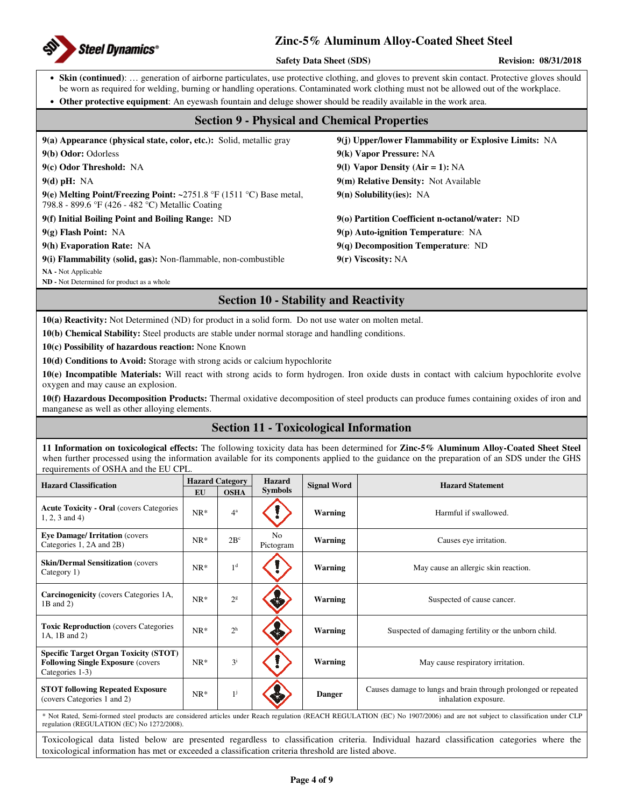

**Safety Data Sheet (SDS)** Revision: 08/31/2018

• **Skin (continued)**: … generation of airborne particulates, use protective clothing, and gloves to prevent skin contact. Protective gloves should be worn as required for welding, burning or handling operations. Contaminated work clothing must not be allowed out of the workplace.

• **Other protective equipment**: An eyewash fountain and deluge shower should be readily available in the work area.

## **Section 9 - Physical and Chemical Properties**

| $9(a)$ Appearance (physical state, color, etc.): Solid, metallic gray                                                         | 9(j) Upper/lower Flammability or Explosive Limits: NA |
|-------------------------------------------------------------------------------------------------------------------------------|-------------------------------------------------------|
| 9(b) Odor: Odorless                                                                                                           | 9(k) Vapor Pressure: NA                               |
| 9(c) Odor Threshold: NA                                                                                                       | 9(1) Vapor Density (Air = 1): $NA$                    |
| $9(d)$ pH: NA                                                                                                                 | 9(m) Relative Density: Not Available                  |
| 9(e) Melting Point/Freezing Point: $\sim$ 2751.8 °F (1511 °C) Base metal,<br>798.8 - 899.6 °F (426 - 482 °C) Metallic Coating | $9(n)$ Solubility(ies): NA                            |
| 9(f) Initial Boiling Point and Boiling Range: ND                                                                              | 9(0) Partition Coefficient n-octanol/water: ND        |
| $9(g)$ Flash Point: NA                                                                                                        | $9(p)$ Auto-ignition Temperature: NA                  |
| 9(h) Evaporation Rate: NA                                                                                                     | $9(q)$ Decomposition Temperature: ND                  |
| 9(i) Flammability (solid, gas): Non-flammable, non-combustible                                                                | $9(r)$ Viscosity: NA                                  |
| NA - Not Applicable                                                                                                           |                                                       |
| ND - Not Determined for product as a whole                                                                                    |                                                       |

## **Section 10 - Stability and Reactivity**

**10(a) Reactivity:** Not Determined (ND) for product in a solid form. Do not use water on molten metal.

**10(b) Chemical Stability:** Steel products are stable under normal storage and handling conditions.

**10(c) Possibility of hazardous reaction:** None Known

**10(d) Conditions to Avoid:** Storage with strong acids or calcium hypochlorite

**10(e) Incompatible Materials:** Will react with strong acids to form hydrogen. Iron oxide dusts in contact with calcium hypochlorite evolve oxygen and may cause an explosion.

**10(f) Hazardous Decomposition Products:** Thermal oxidative decomposition of steel products can produce fumes containing oxides of iron and manganese as well as other alloying elements.

## **Section 11 - Toxicological Information**

**11 Information on toxicological effects:** The following toxicity data has been determined for **Zinc-5% Aluminum Alloy-Coated Sheet Steel** when further processed using the information available for its components applied to the guidance on the preparation of an SDS under the GHS requirements of OSHA and the EU CPL.

| <b>Hazard Classification</b>                                                                                 | <b>Hazard Category</b> |                | <b>Hazard</b><br><b>Signal Word</b> |                | <b>Hazard Statement</b>                                                                |  |  |
|--------------------------------------------------------------------------------------------------------------|------------------------|----------------|-------------------------------------|----------------|----------------------------------------------------------------------------------------|--|--|
|                                                                                                              | <b>EU</b>              | <b>OSHA</b>    | <b>Symbols</b>                      |                |                                                                                        |  |  |
| <b>Acute Toxicity - Oral (covers Categories)</b><br>$1, 2, 3$ and 4)                                         | $NR^*$                 | $4^a$          |                                     | Warning        | Harmful if swallowed.                                                                  |  |  |
| <b>Eye Damage/Irritation (covers)</b><br>Categories 1, 2A and 2B)                                            | $NR*$                  | $2B^c$         | N <sub>0</sub><br>Pictogram         | Warning        | Causes eye irritation.                                                                 |  |  |
| <b>Skin/Dermal Sensitization (covers)</b><br>Category 1)                                                     | $NR^*$                 | 1 <sup>d</sup> |                                     | <b>Warning</b> | May cause an allergic skin reaction.                                                   |  |  |
| <b>Carcinogenicity</b> (covers Categories 1A,<br>$1B$ and $2)$                                               | $NR^*$                 | 2 <sup>g</sup> |                                     | <b>Warning</b> | Suspected of cause cancer.                                                             |  |  |
| <b>Toxic Reproduction</b> (covers Categories)<br>1A, 1B and 2)                                               | $NR^*$                 | 2 <sup>h</sup> |                                     | Warning        | Suspected of damaging fertility or the unborn child.                                   |  |  |
| <b>Specific Target Organ Toxicity (STOT)</b><br><b>Following Single Exposure (covers)</b><br>Categories 1-3) | $NR^*$                 | $3^{i}$        |                                     | <b>Warning</b> | May cause respiratory irritation.                                                      |  |  |
| <b>STOT following Repeated Exposure</b><br>(covers Categories 1 and 2)                                       | $NR^*$                 | $1^{j}$        |                                     | <b>Danger</b>  | Causes damage to lungs and brain through prolonged or repeated<br>inhalation exposure. |  |  |
|                                                                                                              |                        |                |                                     |                | $\sim$ $\sim$ $\sim$ $\sim$                                                            |  |  |

\* Not Rated, Semi-formed steel products are considered articles under Reach regulation (REACH REGULATION (EC) No 1907/2006) and are not subject to classification under CLP regulation (REGULATION (EC) No 1272/2008).

Toxicological data listed below are presented regardless to classification criteria. Individual hazard classification categories where the toxicological information has met or exceeded a classification criteria threshold are listed above.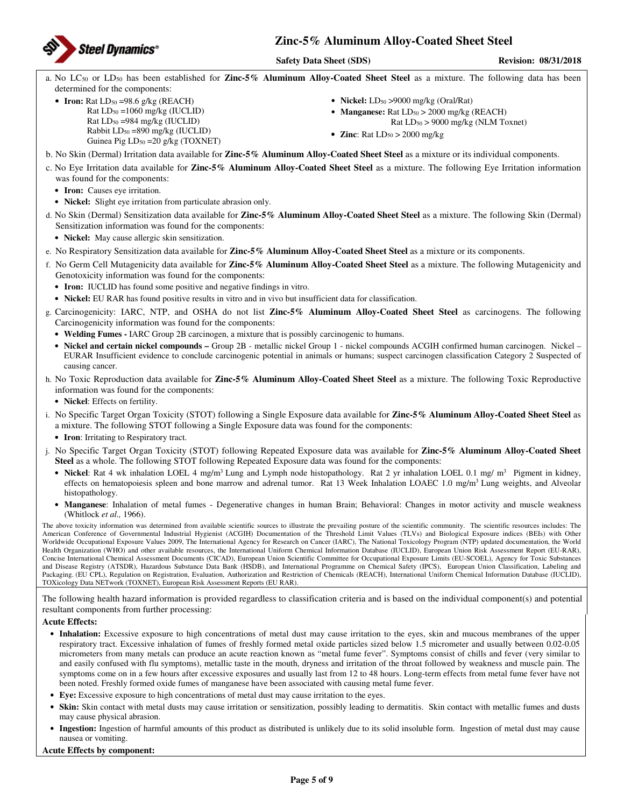

a. No LC50 or LD50 has been established for **Zinc-5% Aluminum Alloy-Coated Sheet Steel** as a mixture. The following data has been determined for the components:

• **Iron:** Rat  $LD_{50} = 98.6$  g/kg (REACH)

Rat  $LD_{50} = 1060$  mg/kg (IUCLID)  $Rat LD<sub>50</sub> = 984 mg/kg (IUCLID)$ Rabbit  $LD_{50} = 890$  mg/kg (IUCLID) Guinea Pig  $LD_{50} = 20$  g/kg (TOXNET)

- **Nickel:** LD<sub>50</sub> > 9000 mg/kg (Oral/Rat)
- **Manganese:** Rat LD<sub>50</sub> > 2000 mg/kg (REACH)
	- Rat LD50 > 9000 mg/kg (NLM Toxnet)
- **Zinc**: Rat  $LD_{50} > 2000$  mg/kg
- b. No Skin (Dermal) Irritation data available for **Zinc-5% Aluminum Alloy-Coated Sheet Steel** as a mixture or its individual components.
- c. No Eye Irritation data available for **Zinc-5% Aluminum Alloy-Coated Sheet Steel** as a mixture. The following Eye Irritation information was found for the components:
	- **Iron:** Causes eye irritation.
	- **Nickel:** Slight eye irritation from particulate abrasion only.
- d. No Skin (Dermal) Sensitization data available for **Zinc-5% Aluminum Alloy-Coated Sheet Steel** as a mixture. The following Skin (Dermal) Sensitization information was found for the components:
	- **Nickel:** May cause allergic skin sensitization.
- e. No Respiratory Sensitization data available for **Zinc-5% Aluminum Alloy-Coated Sheet Steel** as a mixture or its components.
- f. No Germ Cell Mutagenicity data available for **Zinc-5% Aluminum Alloy-Coated Sheet Steel** as a mixture. The following Mutagenicity and Genotoxicity information was found for the components:
	- **Iron:** IUCLID has found some positive and negative findings in vitro.
	- **Nickel:** EU RAR has found positive results in vitro and in vivo but insufficient data for classification.
- g. Carcinogenicity: IARC, NTP, and OSHA do not list **Zinc-5% Aluminum Alloy-Coated Sheet Steel** as carcinogens. The following Carcinogenicity information was found for the components:
	- **Welding Fumes -** IARC Group 2B carcinogen, a mixture that is possibly carcinogenic to humans.
	- **Nickel and certain nickel compounds** Group 2B metallic nickel Group 1 nickel compounds ACGIH confirmed human carcinogen. Nickel EURAR Insufficient evidence to conclude carcinogenic potential in animals or humans; suspect carcinogen classification Category 2 Suspected of causing cancer.
- h. No Toxic Reproduction data available for **Zinc-5% Aluminum Alloy-Coated Sheet Steel** as a mixture. The following Toxic Reproductive information was found for the components:
	- **Nickel**: Effects on fertility.
- i. No Specific Target Organ Toxicity (STOT) following a Single Exposure data available for **Zinc-5% Aluminum Alloy-Coated Sheet Steel** as a mixture. The following STOT following a Single Exposure data was found for the components:
	- **Iron**: Irritating to Respiratory tract.
- j. No Specific Target Organ Toxicity (STOT) following Repeated Exposure data was available for **Zinc-5% Aluminum Alloy-Coated Sheet Steel** as a whole. The following STOT following Repeated Exposure data was found for the components:
	- **Nickel**: Rat 4 wk inhalation LOEL 4 mg/m<sup>3</sup> Lung and Lymph node histopathology. Rat 2 yr inhalation LOEL 0.1 mg/ m<sup>3</sup> Pigment in kidney, effects on hematopoiesis spleen and bone marrow and adrenal tumor. Rat 13 Week Inhalation LOAEC 1.0 mg/m<sup>3</sup> Lung weights, and Alveolar histopathology.
	- **Manganese**: Inhalation of metal fumes Degenerative changes in human Brain; Behavioral: Changes in motor activity and muscle weakness (Whitlock *et al.,* 1966).

The above toxicity information was determined from available scientific sources to illustrate the prevailing posture of the scientific community. The scientific resources includes: The American Conference of Governmental Industrial Hygienist (ACGIH) Documentation of the Threshold Limit Values (TLVs) and Biological Exposure indices (BEIs) with Other Worldwide Occupational Exposure Values 2009, The International Agency for Research on Cancer (IARC), The National Toxicology Program (NTP) updated documentation, the World Health Organization (WHO) and other available resources, the International Uniform Chemical Information Database (IUCLID), European Union Risk Assessment Report (EU-RAR), Concise International Chemical Assessment Documents (CICAD), European Union Scientific Committee for Occupational Exposure Limits (EU-SCOEL), Agency for Toxic Substances and Disease Registry (ATSDR), Hazardous Substance Data Bank (HSDB), and International Programme on Chemical Safety (IPCS), European Union Classification, Labeling and Packaging. (EU CPL), Regulation on Registration, Evaluation, Authorization and Restriction of Chemicals (REACH), International Uniform Chemical Information Database (IUCLID), TOXicology Data NETwork (TOXNET), European Risk Assessment Reports (EU RAR).

The following health hazard information is provided regardless to classification criteria and is based on the individual component(s) and potential resultant components from further processing:

### **Acute Effects:**

- **Inhalation:** Excessive exposure to high concentrations of metal dust may cause irritation to the eyes, skin and mucous membranes of the upper respiratory tract. Excessive inhalation of fumes of freshly formed metal oxide particles sized below 1.5 micrometer and usually between 0.02-0.05 micrometers from many metals can produce an acute reaction known as "metal fume fever". Symptoms consist of chills and fever (very similar to and easily confused with flu symptoms), metallic taste in the mouth, dryness and irritation of the throat followed by weakness and muscle pain. The symptoms come on in a few hours after excessive exposures and usually last from 12 to 48 hours. Long-term effects from metal fume fever have not been noted. Freshly formed oxide fumes of manganese have been associated with causing metal fume fever.
- **Eye:** Excessive exposure to high concentrations of metal dust may cause irritation to the eyes.
- **Skin:** Skin contact with metal dusts may cause irritation or sensitization, possibly leading to dermatitis. Skin contact with metallic fumes and dusts may cause physical abrasion.
- **Ingestion:** Ingestion of harmful amounts of this product as distributed is unlikely due to its solid insoluble form. Ingestion of metal dust may cause nausea or vomiting.

### **Acute Effects by component:**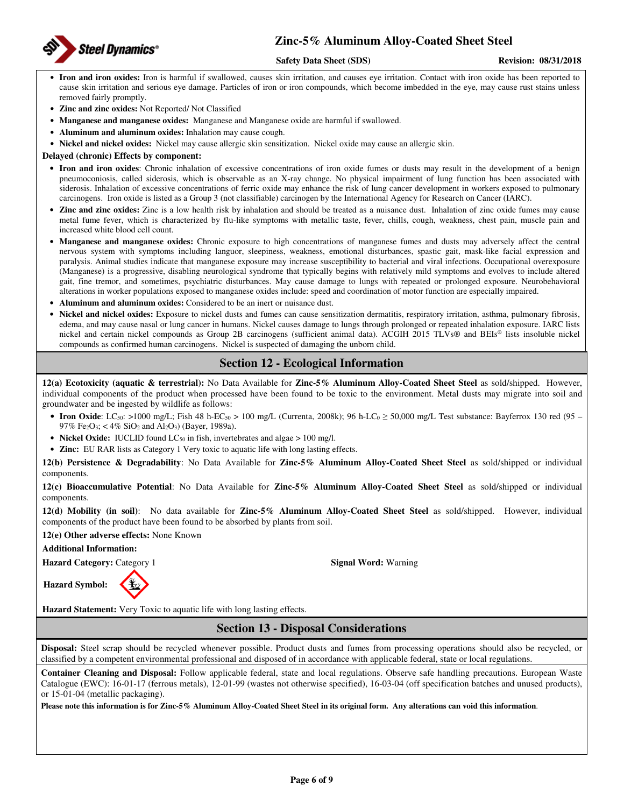

### **Safety Data Sheet (SDS)** Revision: 08/31/2018

- **Iron and iron oxides:** Iron is harmful if swallowed, causes skin irritation, and causes eye irritation. Contact with iron oxide has been reported to cause skin irritation and serious eye damage. Particles of iron or iron compounds, which become imbedded in the eye, may cause rust stains unless removed fairly promptly.
- **Zinc and zinc oxides:** Not Reported/ Not Classified
- **Manganese and manganese oxides:** Manganese and Manganese oxide are harmful if swallowed.
- **Aluminum and aluminum oxides:** Inhalation may cause cough.
- **Nickel and nickel oxides:** Nickel may cause allergic skin sensitization. Nickel oxide may cause an allergic skin.

**Delayed (chronic) Effects by component:** 

- **Iron and iron oxides**: Chronic inhalation of excessive concentrations of iron oxide fumes or dusts may result in the development of a benign pneumoconiosis, called siderosis, which is observable as an X-ray change. No physical impairment of lung function has been associated with siderosis. Inhalation of excessive concentrations of ferric oxide may enhance the risk of lung cancer development in workers exposed to pulmonary carcinogens. Iron oxide is listed as a Group 3 (not classifiable) carcinogen by the International Agency for Research on Cancer (IARC).
- **Zinc and zinc oxides:** Zinc is a low health risk by inhalation and should be treated as a nuisance dust. Inhalation of zinc oxide fumes may cause metal fume fever, which is characterized by flu-like symptoms with metallic taste, fever, chills, cough, weakness, chest pain, muscle pain and increased white blood cell count.
- **Manganese and manganese oxides:** Chronic exposure to high concentrations of manganese fumes and dusts may adversely affect the central nervous system with symptoms including languor, sleepiness, weakness, emotional disturbances, spastic gait, mask-like facial expression and paralysis. Animal studies indicate that manganese exposure may increase susceptibility to bacterial and viral infections. Occupational overexposure (Manganese) is a progressive, disabling neurological syndrome that typically begins with relatively mild symptoms and evolves to include altered gait, fine tremor, and sometimes, psychiatric disturbances. May cause damage to lungs with repeated or prolonged exposure. Neurobehavioral alterations in worker populations exposed to manganese oxides include: speed and coordination of motor function are especially impaired.
- **Aluminum and aluminum oxides:** Considered to be an inert or nuisance dust.
- **Nickel and nickel oxides:** Exposure to nickel dusts and fumes can cause sensitization dermatitis, respiratory irritation, asthma, pulmonary fibrosis, edema, and may cause nasal or lung cancer in humans. Nickel causes damage to lungs through prolonged or repeated inhalation exposure. IARC lists nickel and certain nickel compounds as Group 2B carcinogens (sufficient animal data). ACGIH 2015 TLVs® and BEIs® lists insoluble nickel compounds as confirmed human carcinogens. Nickel is suspected of damaging the unborn child.

## **Section 12 - Ecological Information**

**12(a) Ecotoxicity (aquatic & terrestrial):** No Data Available for **Zinc-5% Aluminum Alloy-Coated Sheet Steel** as sold/shipped. However, individual components of the product when processed have been found to be toxic to the environment. Metal dusts may migrate into soil and groundwater and be ingested by wildlife as follows:

- **Iron Oxide**: LC<sub>50</sub>: >1000 mg/L; Fish 48 h-EC<sub>50</sub> > 100 mg/L (Currenta, 2008k); 96 h-LC<sub>0</sub>  $\geq$  50,000 mg/L Test substance: Bayferrox 130 red (95 97% Fe<sub>2</sub>O<sub>3</sub>; < 4% SiO<sub>2</sub> and Al<sub>2</sub>O<sub>3</sub>) (Bayer, 1989a).
- **Nickel Oxide:** IUCLID found LC<sub>50</sub> in fish, invertebrates and algae > 100 mg/l.
- **Zinc:** EU RAR lists as Category 1 Very toxic to aquatic life with long lasting effects.

**12(b) Persistence & Degradability**: No Data Available for **Zinc-5% Aluminum Alloy-Coated Sheet Steel** as sold/shipped or individual components.

**12(c) Bioaccumulative Potential**: No Data Available for **Zinc-5% Aluminum Alloy-Coated Sheet Steel** as sold/shipped or individual components.

**12(d) Mobility (in soil)**: No data available for **Zinc-5% Aluminum Alloy-Coated Sheet Steel** as sold/shipped. However, individual components of the product have been found to be absorbed by plants from soil.

**12(e) Other adverse effects:** None Known

**Additional Information:** 

**Hazard Category:** Category 1 **Signal Word:** Warning

**Hazard Symbol:** 

**Hazard Statement:** Very Toxic to aquatic life with long lasting effects.

**Section 13 - Disposal Considerations** 

**Disposal:** Steel scrap should be recycled whenever possible. Product dusts and fumes from processing operations should also be recycled, or classified by a competent environmental professional and disposed of in accordance with applicable federal, state or local regulations.

**Container Cleaning and Disposal:** Follow applicable federal, state and local regulations. Observe safe handling precautions. European Waste Catalogue (EWC): 16-01-17 (ferrous metals), 12-01-99 (wastes not otherwise specified), 16-03-04 (off specification batches and unused products), or 15-01-04 (metallic packaging).

**Please note this information is for Zinc-5% Aluminum Alloy-Coated Sheet Steel in its original form. Any alterations can void this information**.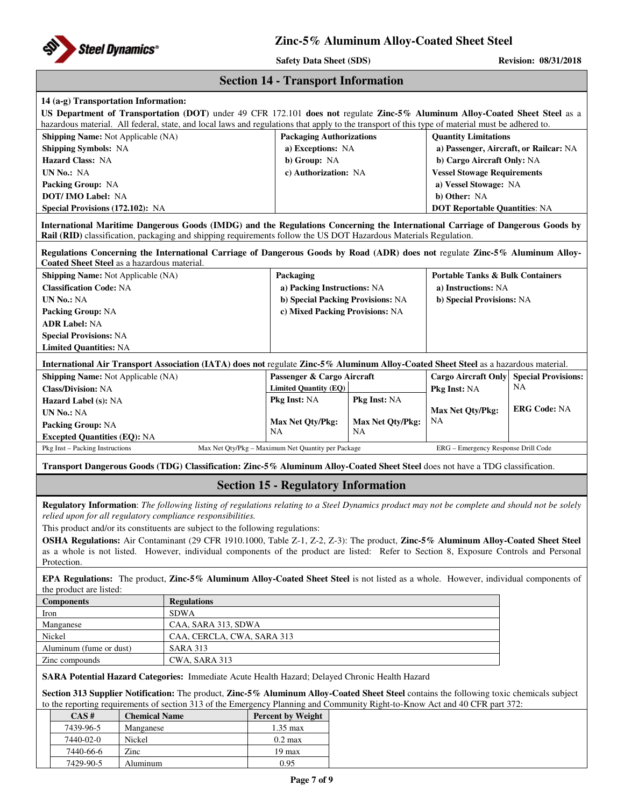

| <b>Section 14 - Transport Information</b> |  |  |
|-------------------------------------------|--|--|
|-------------------------------------------|--|--|

## **14 (a-g) Transportation Information:**

| US Department of Transportation (DOT) under 49 CFR 172.101 does not regulate Zinc-5% Aluminum Alloy-Coated Sheet Steel as a<br>hazardous material. All federal, state, and local laws and regulations that apply to the transport of this type of material must be adhered to. |                            |                                                    |                  |                                             |                            |  |
|--------------------------------------------------------------------------------------------------------------------------------------------------------------------------------------------------------------------------------------------------------------------------------|----------------------------|----------------------------------------------------|------------------|---------------------------------------------|----------------------------|--|
| Shipping Name: Not Applicable (NA)                                                                                                                                                                                                                                             |                            | <b>Packaging Authorizations</b>                    |                  | <b>Quantity Limitations</b>                 |                            |  |
| <b>Shipping Symbols: NA</b>                                                                                                                                                                                                                                                    |                            | a) Exceptions: NA                                  |                  | a) Passenger, Aircraft, or Railcar: NA      |                            |  |
| <b>Hazard Class: NA</b>                                                                                                                                                                                                                                                        |                            | b) Group: NA                                       |                  |                                             | b) Cargo Aircraft Only: NA |  |
| UN No.: NA                                                                                                                                                                                                                                                                     |                            | c) Authorization: NA                               |                  | <b>Vessel Stowage Requirements</b>          |                            |  |
| Packing Group: NA                                                                                                                                                                                                                                                              |                            |                                                    |                  | a) Vessel Stowage: NA                       |                            |  |
| <b>DOT/IMO Label: NA</b>                                                                                                                                                                                                                                                       |                            |                                                    |                  | b) Other: NA                                |                            |  |
| Special Provisions (172.102): NA                                                                                                                                                                                                                                               |                            |                                                    |                  | <b>DOT Reportable Quantities: NA</b>        |                            |  |
| International Maritime Dangerous Goods (IMDG) and the Regulations Concerning the International Carriage of Dangerous Goods by<br>Rail (RID) classification, packaging and shipping requirements follow the US DOT Hazardous Materials Regulation.                              |                            |                                                    |                  |                                             |                            |  |
| Regulations Concerning the International Carriage of Dangerous Goods by Road (ADR) does not regulate Zinc-5% Aluminum Alloy-<br>Coated Sheet Steel as a hazardous material.                                                                                                    |                            |                                                    |                  |                                             |                            |  |
| Shipping Name: Not Applicable (NA)                                                                                                                                                                                                                                             |                            | Packaging                                          |                  | <b>Portable Tanks &amp; Bulk Containers</b> |                            |  |
| <b>Classification Code: NA</b>                                                                                                                                                                                                                                                 |                            | a) Packing Instructions: NA                        |                  | a) Instructions: NA                         |                            |  |
| <b>UN No.: NA</b>                                                                                                                                                                                                                                                              |                            | b) Special Packing Provisions: NA                  |                  | b) Special Provisions: NA                   |                            |  |
| <b>Packing Group: NA</b>                                                                                                                                                                                                                                                       |                            | c) Mixed Packing Provisions: NA                    |                  |                                             |                            |  |
| <b>ADR Label: NA</b>                                                                                                                                                                                                                                                           |                            |                                                    |                  |                                             |                            |  |
| <b>Special Provisions: NA</b>                                                                                                                                                                                                                                                  |                            |                                                    |                  |                                             |                            |  |
| <b>Limited Quantities: NA</b>                                                                                                                                                                                                                                                  |                            |                                                    |                  |                                             |                            |  |
| International Air Transport Association (IATA) does not regulate Zinc-5% Aluminum Alloy-Coated Sheet Steel as a hazardous material.                                                                                                                                            |                            |                                                    |                  |                                             |                            |  |
| <b>Shipping Name:</b> Not Applicable (NA)                                                                                                                                                                                                                                      |                            | Passenger & Cargo Aircraft                         |                  | <b>Cargo Aircraft Only</b>                  | <b>Special Provisions:</b> |  |
| <b>Class/Division: NA</b>                                                                                                                                                                                                                                                      |                            | <b>Limited Quantity (EQ)</b>                       |                  | Pkg Inst: NA                                | NA                         |  |
| <b>Hazard Label (s): NA</b>                                                                                                                                                                                                                                                    |                            | Pkg Inst: NA                                       | Pkg Inst: NA     | Max Net Qty/Pkg:                            | <b>ERG Code: NA</b>        |  |
| <b>UN No.: NA</b>                                                                                                                                                                                                                                                              |                            | Max Net Qty/Pkg:                                   | Max Net Qty/Pkg: |                                             |                            |  |
| <b>Packing Group: NA</b>                                                                                                                                                                                                                                                       |                            | NA                                                 | NA.              | NA                                          |                            |  |
| <b>Excepted Quantities (EQ): NA</b><br>Pkg Inst - Packing Instructions                                                                                                                                                                                                         |                            | Max Net Qty/Pkg - Maximum Net Quantity per Package |                  | ERG - Emergency Response Drill Code         |                            |  |
| Transport Dangerous Goods (TDG) Classification: Zinc-5% Aluminum Alloy-Coated Sheet Steel does not have a TDG classification.                                                                                                                                                  |                            |                                                    |                  |                                             |                            |  |
|                                                                                                                                                                                                                                                                                |                            | <b>Section 15 - Regulatory Information</b>         |                  |                                             |                            |  |
| Regulatory Information: The following listing of regulations relating to a Steel Dynamics product may not be complete and should not be solely                                                                                                                                 |                            |                                                    |                  |                                             |                            |  |
| relied upon for all regulatory compliance responsibilities.                                                                                                                                                                                                                    |                            |                                                    |                  |                                             |                            |  |
| This product and/or its constituents are subject to the following regulations:                                                                                                                                                                                                 |                            |                                                    |                  |                                             |                            |  |
| OSHA Regulations: Air Contaminant (29 CFR 1910.1000, Table Z-1, Z-2, Z-3): The product, Zinc-5% Aluminum Alloy-Coated Sheet Steel                                                                                                                                              |                            |                                                    |                  |                                             |                            |  |
| as a whole is not listed. However, individual components of the product are listed: Refer to Section 8, Exposure Controls and Personal                                                                                                                                         |                            |                                                    |                  |                                             |                            |  |
| Protection.                                                                                                                                                                                                                                                                    |                            |                                                    |                  |                                             |                            |  |
| EPA Regulations: The product, Zinc-5% Aluminum Alloy-Coated Sheet Steel is not listed as a whole. However, individual components of<br>the product are listed:                                                                                                                 |                            |                                                    |                  |                                             |                            |  |
| <b>Components</b>                                                                                                                                                                                                                                                              | <b>Regulations</b>         |                                                    |                  |                                             |                            |  |
| Iron                                                                                                                                                                                                                                                                           | <b>SDWA</b>                |                                                    |                  |                                             |                            |  |
| Manganese                                                                                                                                                                                                                                                                      | CAA, SARA 313, SDWA        |                                                    |                  |                                             |                            |  |
| Nickel                                                                                                                                                                                                                                                                         | CAA, CERCLA, CWA, SARA 313 |                                                    |                  |                                             |                            |  |
| Aluminum (fume or dust)                                                                                                                                                                                                                                                        | <b>SARA 313</b>            |                                                    |                  |                                             |                            |  |
| Zinc compounds                                                                                                                                                                                                                                                                 |                            |                                                    |                  |                                             |                            |  |
| <b>SARA Potential Hazard Categories:</b> Immediate Acute Health Hazard; Delayed Chronic Health Hazard                                                                                                                                                                          |                            |                                                    |                  |                                             |                            |  |
| Section 313 Supplier Notification: The product, Zinc-5% Aluminum Alloy-Coated Sheet Steel contains the following toxic chemicals subject<br>to the reporting requirements of section 313 of the Emergency Planning and Community Right-to-Know Act and 40 CFR part 372:        |                            |                                                    |                  |                                             |                            |  |
| CAS#<br><b>Chemical Name</b>                                                                                                                                                                                                                                                   |                            | <b>Percent by Weight</b>                           |                  |                                             |                            |  |
| 7439-96-5<br>Manganese                                                                                                                                                                                                                                                         |                            | $1.35$ max                                         |                  |                                             |                            |  |
| 7440-02-0<br>Nickel                                                                                                                                                                                                                                                            |                            | $0.2 \text{ max}$                                  |                  |                                             |                            |  |
|                                                                                                                                                                                                                                                                                |                            |                                                    |                  |                                             |                            |  |
| Zinc<br>7440-66-6                                                                                                                                                                                                                                                              |                            | 19 max                                             |                  |                                             |                            |  |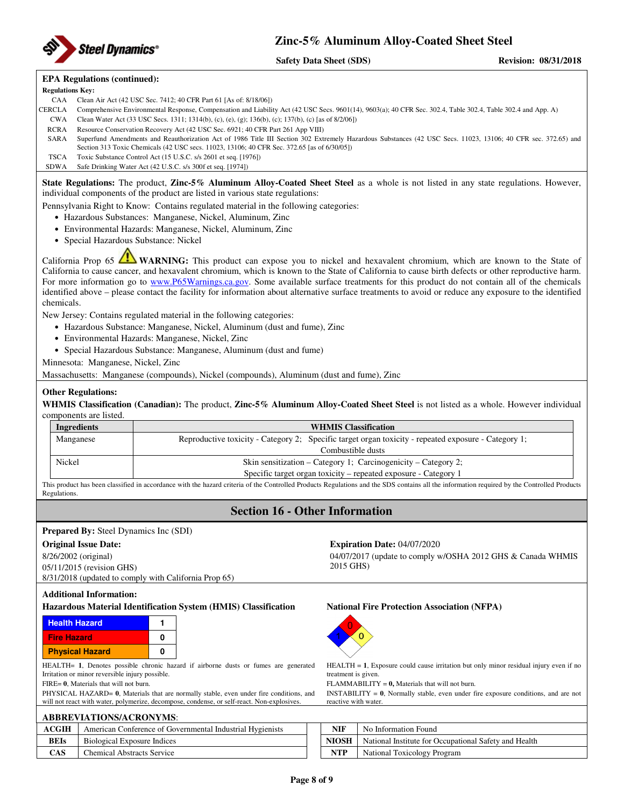

### **EPA Regulations (continued):**

**Regulations Key:**  CAA Clean Air Act (42 USC Sec. 7412; 40 CFR Part 61 [As of: 8/18/06])

- CERCLA Comprehensive Environmental Response, Compensation and Liability Act (42 USC Secs. 9601(14), 9603(a); 40 CFR Sec. 302.4, Table 302.4, Table 302.4 and App. A)
	- CWA Clean Water Act (33 USC Secs. 1311; 1314(b), (c), (e), (g); 136(b), (c); 137(b), (c) [as of 8/2/06])
	- RCRA Resource Conservation Recovery Act (42 USC Sec. 6921; 40 CFR Part 261 App VIII)
- SARA Superfund Amendments and Reauthorization Act of 1986 Title III Section 302 Extremely Hazardous Substances (42 USC Secs. 11023, 13106; 40 CFR sec. 372.65) and Section 313 Toxic Chemicals (42 USC secs. 11023, 13106; 40 CFR Sec. 372.65 [as of 6/30/05])
- TSCA Toxic Substance Control Act (15 U.S.C. s/s 2601 et seq. [1976]) SDWA Safe Drinking Water Act (42 U.S.C. s/s 300f et seq. [1974])

**State Regulations:** The product, **Zinc-5% Aluminum Alloy-Coated Sheet Steel** as a whole is not listed in any state regulations. However, individual components of the product are listed in various state regulations:

Pennsylvania Right to Know: Contains regulated material in the following categories:

- Hazardous Substances: Manganese, Nickel, Aluminum, Zinc
- Environmental Hazards: Manganese, Nickel, Aluminum, Zinc
- Special Hazardous Substance: Nickel

California Prop 65 **WARNING:** This product can expose you to nickel and hexavalent chromium, which are known to the State of California to cause cancer, and hexavalent chromium, which is known to the State of California to cause birth defects or other reproductive harm. For more information go to www.P65Warnings.ca.gov. Some available surface treatments for this product do not contain all of the chemicals identified above – please contact the facility for information about alternative surface treatments to avoid or reduce any exposure to the identified chemicals.

New Jersey: Contains regulated material in the following categories:

- Hazardous Substance: Manganese, Nickel, Aluminum (dust and fume), Zinc
- Environmental Hazards: Manganese, Nickel, Zinc
- Special Hazardous Substance: Manganese, Aluminum (dust and fume)

Minnesota: Manganese, Nickel, Zinc

Massachusetts: Manganese (compounds), Nickel (compounds), Aluminum (dust and fume), Zinc

### **Other Regulations:**

**WHMIS Classification (Canadian):** The product, **Zinc-5% Aluminum Alloy-Coated Sheet Steel** is not listed as a whole. However individual components are listed.

| Ingredients | <b>WHMIS Classification</b>                                                                          |  |  |  |
|-------------|------------------------------------------------------------------------------------------------------|--|--|--|
| Manganese   | Reproductive toxicity - Category 2; Specific target organ toxicity - repeated exposure - Category 1; |  |  |  |
|             | Combustible dusts                                                                                    |  |  |  |
| Nickel      | Skin sensitization – Category 1: Carcinogenicity – Category 2:                                       |  |  |  |
|             | Specific target organ toxicity – repeated exposure - Category 1                                      |  |  |  |

This product has been classified in accordance with the hazard criteria of the Controlled Products Regulations and the SDS contains all the information required by the Controlled Products Regulations.

## **Section 16 - Other Information**

### **Prepared By:** Steel Dynamics Inc (SDI)

### **Original Issue Date: Expiration Date:** 04/07/2020

8/26/2002 (original) 05/11/2015 (revision GHS) 8/31/2018 (updated to comply with California Prop 65)

### **Additional Information:**

### **Hazardous Material Identification System (HMIS) Classification National Fire Protection Association (NFPA)**

| <b>Health Hazard</b>   |   |
|------------------------|---|
| <b>Fire Hazard</b>     | n |
| <b>Physical Hazard</b> | n |

HEALTH= **1**, Denotes possible chronic hazard if airborne dusts or fumes are generated Irritation or minor reversible injury possible.

FIRE= **0**, Materials that will not burn.

PHYSICAL HAZARD= **0**, Materials that are normally stable, even under fire conditions, and will not react with water, polymerize, decompose, condense, or self-react. Non-explosives.

| <b>ABBREVIATIONS/ACRONYMS:</b> |                                                           |  |              |                          |  |  |
|--------------------------------|-----------------------------------------------------------|--|--------------|--------------------------|--|--|
| ACGIH                          | American Conference of Governmental Industrial Hygienists |  | <b>NIF</b>   | No Information Found     |  |  |
| <b>BEIs</b>                    | Biological Exposure Indices                               |  | <b>NIOSH</b> | National Institute for O |  |  |
| CAS                            | <b>Chemical Abstracts Service</b>                         |  | NTP          | National Toxicology Pr   |  |  |

04/07/2017 (update to comply w/OSHA 2012 GHS & Canada WHMIS 2015 GHS)



HEALTH = **1**, Exposure could cause irritation but only minor residual injury even if no treatment is given.

FLAMMABILITY = **0,** Materials that will not burn.

INSTABILITY = **0**, Normally stable, even under fire exposure conditions, and are not reactive with water.

| <b>CGIH</b> | American Conference of Governmental Industrial Hygienists | NIF          | No Information Found                                  |
|-------------|-----------------------------------------------------------|--------------|-------------------------------------------------------|
| BEIs        | Biological Exposure Indices                               | <b>NIOSH</b> | National Institute for Occupational Safety and Health |
| <b>CAS</b>  | <b>Chemical Abstracts Service</b>                         | NTD          | National Toxicology Program                           |